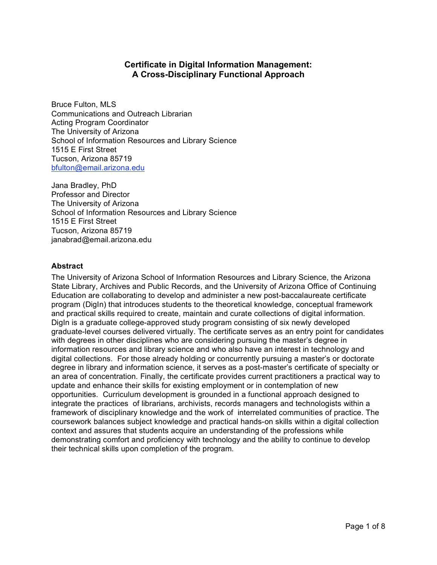# **Certificate in Digital Information Management: A Cross-Disciplinary Functional Approach**

Bruce Fulton, MLS Communications and Outreach Librarian Acting Program Coordinator The University of Arizona School of Information Resources and Library Science 1515 E First Street Tucson, Arizona 85719 bfulton@email.arizona.edu

Jana Bradley, PhD Professor and Director The University of Arizona School of Information Resources and Library Science 1515 E First Street Tucson, Arizona 85719 janabrad@email.arizona.edu

### **Abstract**

The University of Arizona School of Information Resources and Library Science, the Arizona State Library, Archives and Public Records, and the University of Arizona Office of Continuing Education are collaborating to develop and administer a new post-baccalaureate certificate program (DigIn) that introduces students to the theoretical knowledge, conceptual framework and practical skills required to create, maintain and curate collections of digital information. DigIn is a graduate college-approved study program consisting of six newly developed graduate-level courses delivered virtually. The certificate serves as an entry point for candidates with degrees in other disciplines who are considering pursuing the master's degree in information resources and library science and who also have an interest in technology and digital collections. For those already holding or concurrently pursuing a master's or doctorate degree in library and information science, it serves as a post-master's certificate of specialty or an area of concentration. Finally, the certificate provides current practitioners a practical way to update and enhance their skills for existing employment or in contemplation of new opportunities. Curriculum development is grounded in a functional approach designed to integrate the practices of librarians, archivists, records managers and technologists within a framework of disciplinary knowledge and the work of interrelated communities of practice. The coursework balances subject knowledge and practical hands-on skills within a digital collection context and assures that students acquire an understanding of the professions while demonstrating comfort and proficiency with technology and the ability to continue to develop their technical skills upon completion of the program.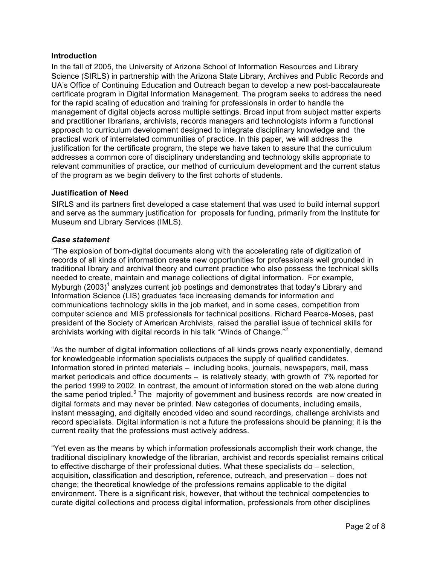### **Introduction**

In the fall of 2005, the University of Arizona School of Information Resources and Library Science (SIRLS) in partnership with the Arizona State Library, Archives and Public Records and UA's Office of Continuing Education and Outreach began to develop a new post-baccalaureate certificate program in Digital Information Management. The program seeks to address the need for the rapid scaling of education and training for professionals in order to handle the management of digital objects across multiple settings. Broad input from subject matter experts and practitioner librarians, archivists, records managers and technologists inform a functional approach to curriculum development designed to integrate disciplinary knowledge and the practical work of interrelated communities of practice. In this paper, we will address the justification for the certificate program, the steps we have taken to assure that the curriculum addresses a common core of disciplinary understanding and technology skills appropriate to relevant communities of practice, our method of curriculum development and the current status of the program as we begin delivery to the first cohorts of students.

### **Justification of Need**

SIRLS and its partners first developed a case statement that was used to build internal support and serve as the summary justification for proposals for funding, primarily from the Institute for Museum and Library Services (IMLS).

### *Case statement*

"The explosion of born-digital documents along with the accelerating rate of digitization of records of all kinds of information create new opportunities for professionals well grounded in traditional library and archival theory and current practice who also possess the technical skills needed to create, maintain and manage collections of digital information. For example, Myburgh (2003)<sup>1</sup> analyzes current job postings and demonstrates that today's Library and Information Science (LIS) graduates face increasing demands for information and communications technology skills in the job market, and in some cases, competition from computer science and MIS professionals for technical positions. Richard Pearce-Moses, past president of the Society of American Archivists, raised the parallel issue of technical skills for archivists working with digital records in his talk "Winds of Change." 2

"As the number of digital information collections of all kinds grows nearly exponentially, demand for knowledgeable information specialists outpaces the supply of qualified candidates. Information stored in printed materials – including books, journals, newspapers, mail, mass market periodicals and office documents – is relatively steady, with growth of 7% reported for the period 1999 to 2002. In contrast, the amount of information stored on the web alone during the same period tripled. $3$  The majority of government and business records are now created in digital formats and may never be printed. New categories of documents, including emails, instant messaging, and digitally encoded video and sound recordings, challenge archivists and record specialists. Digital information is not a future the professions should be planning; it is the current reality that the professions must actively address.

"Yet even as the means by which information professionals accomplish their work change, the traditional disciplinary knowledge of the librarian, archivist and records specialist remains critical to effective discharge of their professional duties. What these specialists do – selection, acquisition, classification and description, reference, outreach, and preservation – does not change; the theoretical knowledge of the professions remains applicable to the digital environment. There is a significant risk, however, that without the technical competencies to curate digital collections and process digital information, professionals from other disciplines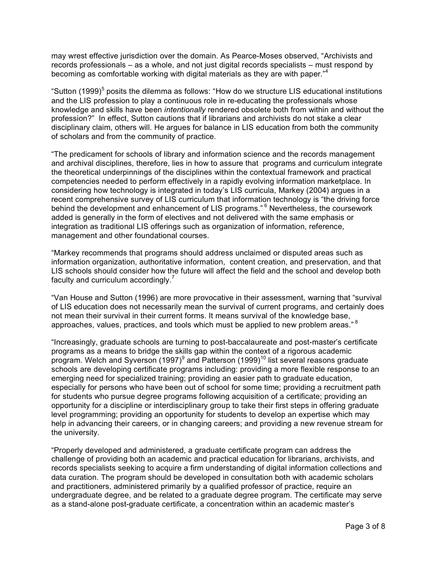may wrest effective jurisdiction over the domain. As Pearce-Moses observed, "Archivists and records professionals – as a whole, and not just digital records specialists – must respond by becoming as comfortable working with digital materials as they are with paper."<sup>4</sup>

"Sutton (1999)<sup>5</sup> posits the dilemma as follows: "How do we structure LIS educational institutions and the LIS profession to play a continuous role in re-educating the professionals whose knowledge and skills have been *intentionally* rendered obsolete both from within and without the profession?" In effect, Sutton cautions that if librarians and archivists do not stake a clear disciplinary claim, others will. He argues for balance in LIS education from both the community of scholars and from the community of practice.

"The predicament for schools of library and information science and the records management and archival disciplines, therefore, lies in how to assure that programs and curriculum integrate the theoretical underpinnings of the disciplines within the contextual framework and practical competencies needed to perform effectively in a rapidly evolving information marketplace. In considering how technology is integrated in today's LIS curricula, Markey (2004) argues in a recent comprehensive survey of LIS curriculum that information technology is "the driving force behind the development and enhancement of LIS programs."<sup>6</sup> Nevertheless, the coursework added is generally in the form of electives and not delivered with the same emphasis or integration as traditional LIS offerings such as organization of information, reference, management and other foundational courses.

"Markey recommends that programs should address unclaimed or disputed areas such as information organization, authoritative information, content creation, and preservation, and that LIS schools should consider how the future will affect the field and the school and develop both faculty and curriculum accordingly.<sup>7</sup>

"Van House and Sutton (1996) are more provocative in their assessment, warning that "survival of LIS education does not necessarily mean the survival of current programs, and certainly does not mean their survival in their current forms. It means survival of the knowledge base, approaches, values, practices, and tools which must be applied to new problem areas." <sup>8</sup>

"Increasingly, graduate schools are turning to post-baccalaureate and post-master's certificate programs as a means to bridge the skills gap within the context of a rigorous academic program. Welch and Syverson (1997) $^9$  and Patterson (1999) $^{10}$  list several reasons graduate schools are developing certificate programs including: providing a more flexible response to an emerging need for specialized training; providing an easier path to graduate education, especially for persons who have been out of school for some time; providing a recruitment path for students who pursue degree programs following acquisition of a certificate; providing an opportunity for a discipline or interdisciplinary group to take their first steps in offering graduate level programming; providing an opportunity for students to develop an expertise which may help in advancing their careers, or in changing careers; and providing a new revenue stream for the university.

"Properly developed and administered, a graduate certificate program can address the challenge of providing both an academic and practical education for librarians, archivists, and records specialists seeking to acquire a firm understanding of digital information collections and data curation. The program should be developed in consultation both with academic scholars and practitioners, administered primarily by a qualified professor of practice, require an undergraduate degree, and be related to a graduate degree program. The certificate may serve as a stand-alone post-graduate certificate, a concentration within an academic master's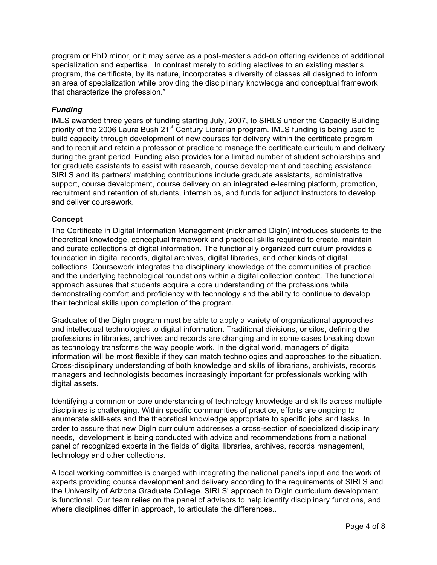program or PhD minor, or it may serve as a post-master's add-on offering evidence of additional specialization and expertise. In contrast merely to adding electives to an existing master's program, the certificate, by its nature, incorporates a diversity of classes all designed to inform an area of specialization while providing the disciplinary knowledge and conceptual framework that characterize the profession."

## *Funding*

IMLS awarded three years of funding starting July, 2007, to SIRLS under the Capacity Building priority of the 2006 Laura Bush 21<sup>st</sup> Century Librarian program. IMLS funding is being used to build capacity through development of new courses for delivery within the certificate program and to recruit and retain a professor of practice to manage the certificate curriculum and delivery during the grant period. Funding also provides for a limited number of student scholarships and for graduate assistants to assist with research, course development and teaching assistance. SIRLS and its partners' matching contributions include graduate assistants, administrative support, course development, course delivery on an integrated e-learning platform, promotion, recruitment and retention of students, internships, and funds for adjunct instructors to develop and deliver coursework.

### **Concept**

The Certificate in Digital Information Management (nicknamed DigIn) introduces students to the theoretical knowledge, conceptual framework and practical skills required to create, maintain and curate collections of digital information. The functionally organized curriculum provides a foundation in digital records, digital archives, digital libraries, and other kinds of digital collections. Coursework integrates the disciplinary knowledge of the communities of practice and the underlying technological foundations within a digital collection context. The functional approach assures that students acquire a core understanding of the professions while demonstrating comfort and proficiency with technology and the ability to continue to develop their technical skills upon completion of the program.

Graduates of the DigIn program must be able to apply a variety of organizational approaches and intellectual technologies to digital information. Traditional divisions, or silos, defining the professions in libraries, archives and records are changing and in some cases breaking down as technology transforms the way people work. In the digital world, managers of digital information will be most flexible if they can match technologies and approaches to the situation. Cross-disciplinary understanding of both knowledge and skills of librarians, archivists, records managers and technologists becomes increasingly important for professionals working with digital assets.

Identifying a common or core understanding of technology knowledge and skills across multiple disciplines is challenging. Within specific communities of practice, efforts are ongoing to enumerate skill-sets and the theoretical knowledge appropriate to specific jobs and tasks. In order to assure that new DigIn curriculum addresses a cross-section of specialized disciplinary needs, development is being conducted with advice and recommendations from a national panel of recognized experts in the fields of digital libraries, archives, records management, technology and other collections.

A local working committee is charged with integrating the national panel's input and the work of experts providing course development and delivery according to the requirements of SIRLS and the University of Arizona Graduate College. SIRLS' approach to DigIn curriculum development is functional. Our team relies on the panel of advisors to help identify disciplinary functions, and where disciplines differ in approach, to articulate the differences..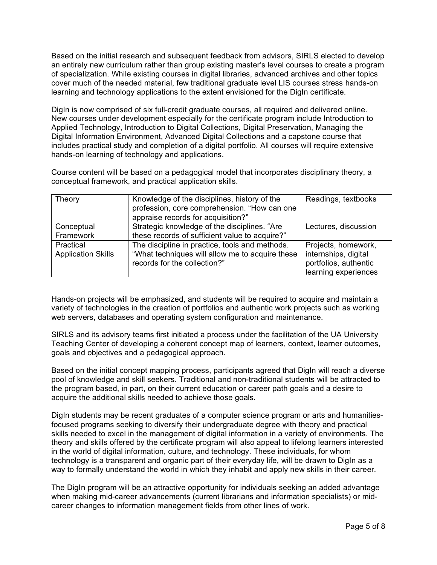Based on the initial research and subsequent feedback from advisors, SIRLS elected to develop an entirely new curriculum rather than group existing master's level courses to create a program of specialization. While existing courses in digital libraries, advanced archives and other topics cover much of the needed material, few traditional graduate level LIS courses stress hands-on learning and technology applications to the extent envisioned for the DigIn certificate.

DigIn is now comprised of six full-credit graduate courses, all required and delivered online. New courses under development especially for the certificate program include Introduction to Applied Technology, Introduction to Digital Collections, Digital Preservation, Managing the Digital Information Environment, Advanced Digital Collections and a capstone course that includes practical study and completion of a digital portfolio. All courses will require extensive hands-on learning of technology and applications.

Course content will be based on a pedagogical model that incorporates disciplinary theory, a conceptual framework, and practical application skills.

| Theory                                 | Knowledge of the disciplines, history of the<br>profession, core comprehension. "How can one<br>appraise records for acquisition?" | Readings, textbooks                                                                          |
|----------------------------------------|------------------------------------------------------------------------------------------------------------------------------------|----------------------------------------------------------------------------------------------|
| Conceptual<br>Framework                | Strategic knowledge of the disciplines. "Are<br>these records of sufficient value to acquire?"                                     | Lectures, discussion                                                                         |
| Practical<br><b>Application Skills</b> | The discipline in practice, tools and methods.<br>"What techniques will allow me to acquire these<br>records for the collection?"  | Projects, homework,<br>internships, digital<br>portfolios, authentic<br>learning experiences |

Hands-on projects will be emphasized, and students will be required to acquire and maintain a variety of technologies in the creation of portfolios and authentic work projects such as working web servers, databases and operating system configuration and maintenance.

SIRLS and its advisory teams first initiated a process under the facilitation of the UA University Teaching Center of developing a coherent concept map of learners, context, learner outcomes, goals and objectives and a pedagogical approach.

Based on the initial concept mapping process, participants agreed that DigIn will reach a diverse pool of knowledge and skill seekers. Traditional and non-traditional students will be attracted to the program based, in part, on their current education or career path goals and a desire to acquire the additional skills needed to achieve those goals.

DigIn students may be recent graduates of a computer science program or arts and humanitiesfocused programs seeking to diversify their undergraduate degree with theory and practical skills needed to excel in the management of digital information in a variety of environments. The theory and skills offered by the certificate program will also appeal to lifelong learners interested in the world of digital information, culture, and technology. These individuals, for whom technology is a transparent and organic part of their everyday life, will be drawn to DigIn as a way to formally understand the world in which they inhabit and apply new skills in their career.

The DigIn program will be an attractive opportunity for individuals seeking an added advantage when making mid-career advancements (current librarians and information specialists) or midcareer changes to information management fields from other lines of work.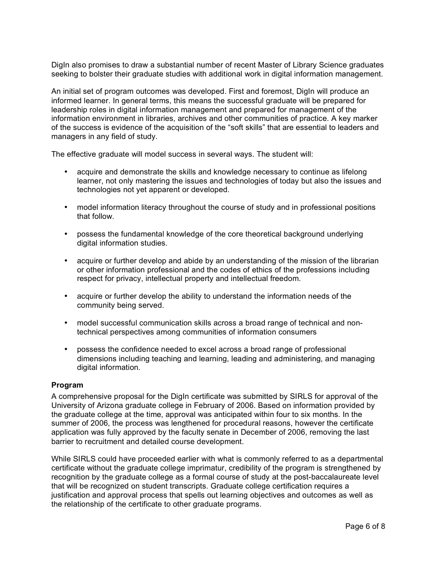DigIn also promises to draw a substantial number of recent Master of Library Science graduates seeking to bolster their graduate studies with additional work in digital information management.

An initial set of program outcomes was developed. First and foremost, DigIn will produce an informed learner. In general terms, this means the successful graduate will be prepared for leadership roles in digital information management and prepared for management of the information environment in libraries, archives and other communities of practice. A key marker of the success is evidence of the acquisition of the "soft skills" that are essential to leaders and managers in any field of study.

The effective graduate will model success in several ways. The student will:

- acquire and demonstrate the skills and knowledge necessary to continue as lifelong learner, not only mastering the issues and technologies of today but also the issues and technologies not yet apparent or developed.
- model information literacy throughout the course of study and in professional positions that follow.
- possess the fundamental knowledge of the core theoretical background underlying digital information studies.
- acquire or further develop and abide by an understanding of the mission of the librarian or other information professional and the codes of ethics of the professions including respect for privacy, intellectual property and intellectual freedom.
- acquire or further develop the ability to understand the information needs of the community being served.
- model successful communication skills across a broad range of technical and nontechnical perspectives among communities of information consumers
- possess the confidence needed to excel across a broad range of professional dimensions including teaching and learning, leading and administering, and managing digital information.

#### **Program**

A comprehensive proposal for the DigIn certificate was submitted by SIRLS for approval of the University of Arizona graduate college in February of 2006. Based on information provided by the graduate college at the time, approval was anticipated within four to six months. In the summer of 2006, the process was lengthened for procedural reasons, however the certificate application was fully approved by the faculty senate in December of 2006, removing the last barrier to recruitment and detailed course development.

While SIRLS could have proceeded earlier with what is commonly referred to as a departmental certificate without the graduate college imprimatur, credibility of the program is strengthened by recognition by the graduate college as a formal course of study at the post-baccalaureate level that will be recognized on student transcripts. Graduate college certification requires a justification and approval process that spells out learning objectives and outcomes as well as the relationship of the certificate to other graduate programs.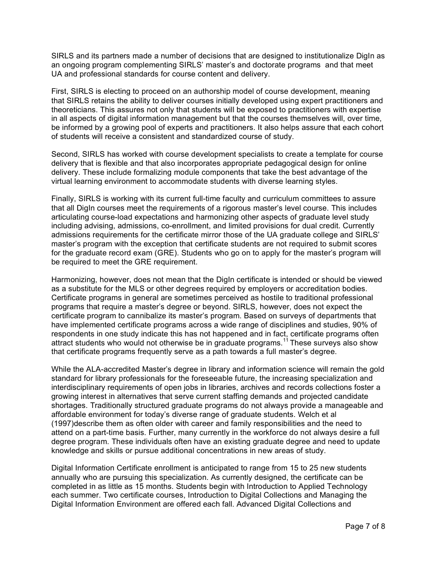SIRLS and its partners made a number of decisions that are designed to institutionalize DigIn as an ongoing program complementing SIRLS' master's and doctorate programs and that meet UA and professional standards for course content and delivery.

First, SIRLS is electing to proceed on an authorship model of course development, meaning that SIRLS retains the ability to deliver courses initially developed using expert practitioners and theoreticians. This assures not only that students will be exposed to practitioners with expertise in all aspects of digital information management but that the courses themselves will, over time, be informed by a growing pool of experts and practitioners. It also helps assure that each cohort of students will receive a consistent and standardized course of study.

Second, SIRLS has worked with course development specialists to create a template for course delivery that is flexible and that also incorporates appropriate pedagogical design for online delivery. These include formalizing module components that take the best advantage of the virtual learning environment to accommodate students with diverse learning styles.

Finally, SIRLS is working with its current full-time faculty and curriculum committees to assure that all DigIn courses meet the requirements of a rigorous master's level course. This includes articulating course-load expectations and harmonizing other aspects of graduate level study including advising, admissions, co-enrollment, and limited provisions for dual credit. Currently admissions requirements for the certificate mirror those of the UA graduate college and SIRLS' master's program with the exception that certificate students are not required to submit scores for the graduate record exam (GRE). Students who go on to apply for the master's program will be required to meet the GRE requirement.

Harmonizing, however, does not mean that the DigIn certificate is intended or should be viewed as a substitute for the MLS or other degrees required by employers or accreditation bodies. Certificate programs in general are sometimes perceived as hostile to traditional professional programs that require a master's degree or beyond. SIRLS, however, does not expect the certificate program to cannibalize its master's program. Based on surveys of departments that have implemented certificate programs across a wide range of disciplines and studies, 90% of respondents in one study indicate this has not happened and in fact, certificate programs often attract students who would not otherwise be in graduate programs.<sup>11</sup> These surveys also show that certificate programs frequently serve as a path towards a full master's degree.

While the ALA-accredited Master's degree in library and information science will remain the gold standard for library professionals for the foreseeable future, the increasing specialization and interdisciplinary requirements of open jobs in libraries, archives and records collections foster a growing interest in alternatives that serve current staffing demands and projected candidate shortages. Traditionally structured graduate programs do not always provide a manageable and affordable environment for today's diverse range of graduate students. Welch et al (1997)describe them as often older with career and family responsibilities and the need to attend on a part-time basis. Further, many currently in the workforce do not always desire a full degree program. These individuals often have an existing graduate degree and need to update knowledge and skills or pursue additional concentrations in new areas of study.

Digital Information Certificate enrollment is anticipated to range from 15 to 25 new students annually who are pursuing this specialization. As currently designed, the certificate can be completed in as little as 15 months. Students begin with Introduction to Applied Technology each summer. Two certificate courses, Introduction to Digital Collections and Managing the Digital Information Environment are offered each fall. Advanced Digital Collections and